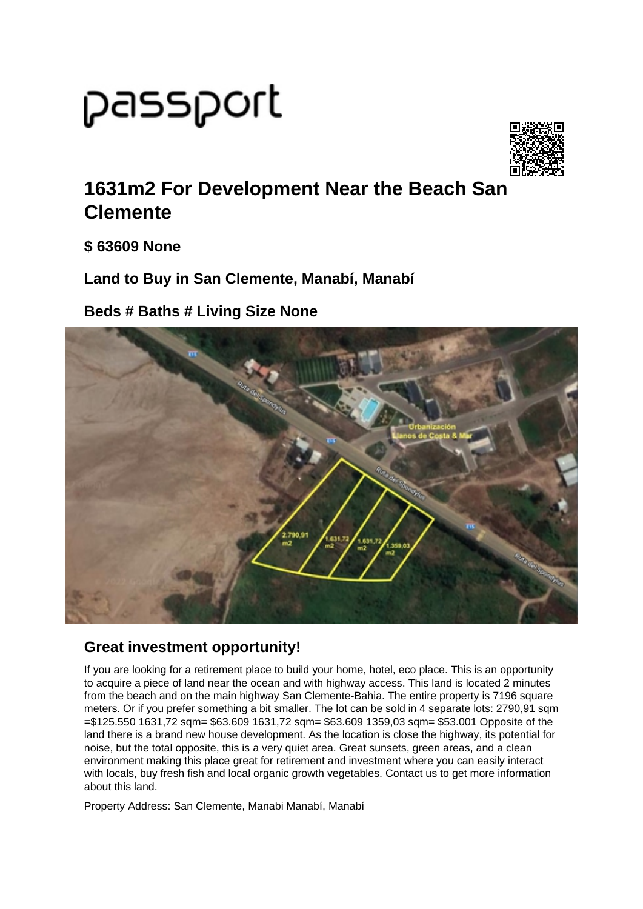## passport



## **1631m2 For Development Near the Beach San Clemente**

**\$ 63609 None**

**Land to Buy in San Clemente, Manabí, Manabí**

**Beds # Baths # Living Size None**



## **Great investment opportunity!**

If you are looking for a retirement place to build your home, hotel, eco place. This is an opportunity to acquire a piece of land near the ocean and with highway access. This land is located 2 minutes from the beach and on the main highway San Clemente-Bahia. The entire property is 7196 square meters. Or if you prefer something a bit smaller. The lot can be sold in 4 separate lots: 2790.91 sqm =\$125.550 1631,72 sqm= \$63.609 1631,72 sqm= \$63.609 1359,03 sqm= \$53.001 Opposite of the land there is a brand new house development. As the location is close the highway, its potential for noise, but the total opposite, this is a very quiet area. Great sunsets, green areas, and a clean environment making this place great for retirement and investment where you can easily interact with locals, buy fresh fish and local organic growth vegetables. Contact us to get more information about this land.

Property Address: San Clemente, Manabi Manabí, Manabí